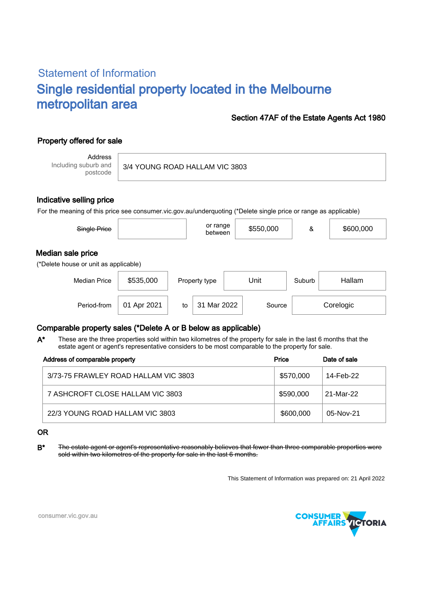# Statement of Information Single residential property located in the Melbourne metropolitan area

### Section 47AF of the Estate Agents Act 1980

# Property offered for sale

Address Including suburb and postcode

3/4 YOUNG ROAD HALLAM VIC 3803

### Indicative selling price

For the meaning of this price see consumer.vic.gov.au/underquoting (\*Delete single price or range as applicable)

| Single Price                                               |           | or range<br>between | \$550,000 | &      | \$600,000 |  |  |  |  |
|------------------------------------------------------------|-----------|---------------------|-----------|--------|-----------|--|--|--|--|
| Median sale price<br>(*Delete house or unit as applicable) |           |                     |           |        |           |  |  |  |  |
| <b>Median Price</b>                                        | \$535,000 | Property type       | Unit      | Suburb | Hallam    |  |  |  |  |
|                                                            |           |                     |           |        |           |  |  |  |  |

Period-from | 01 Apr 2021 | to | 31 Mar 2022 | Source | Corelogic

## Comparable property sales (\*Delete A or B below as applicable)

These are the three properties sold within two kilometres of the property for sale in the last 6 months that the estate agent or agent's representative considers to be most comparable to the property for sale. A\*

| Address of comparable property       | Price     | Date of sale |
|--------------------------------------|-----------|--------------|
| 3/73-75 FRAWLEY ROAD HALLAM VIC 3803 | \$570,000 | 14-Feb-22    |
| 7 ASHCROFT CLOSE HALLAM VIC 3803     | \$590.000 | 21-Mar-22    |
| 22/3 YOUNG ROAD HALLAM VIC 3803      | \$600,000 | 05-Nov-21    |

#### OR

B<sup>\*</sup> The estate agent or agent's representative reasonably believes that fewer than three comparable properties were sold within two kilometres of the property for sale in the last 6 months.

This Statement of Information was prepared on: 21 April 2022



consumer.vic.gov.au